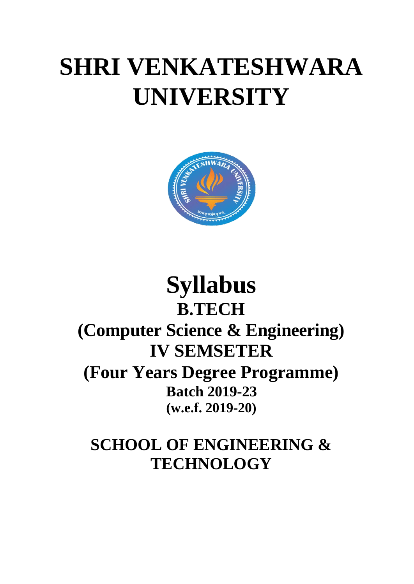# **SHRI VENKATESHWARA UNIVERSITY**



# **Syllabus B.TECH (Computer Science & Engineering) IV SEMSETER (Four Years Degree Programme) Batch 2019-23 (w.e.f. 2019-20)**

# **SCHOOL OF ENGINEERING & TECHNOLOGY**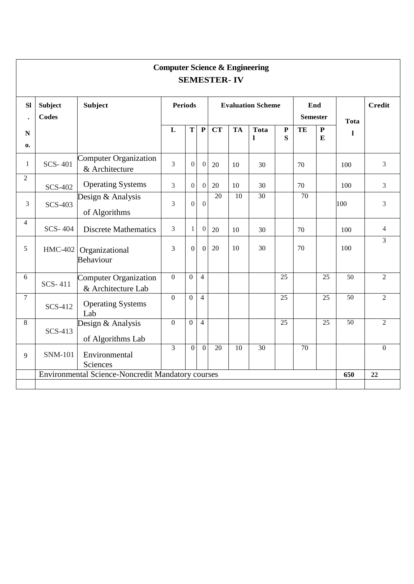| <b>Computer Science &amp; Engineering</b><br><b>SEMESTER-IV</b> |                                |                                                   |                |                |                          |                 |           |                        |                |             |                        |                 |                |
|-----------------------------------------------------------------|--------------------------------|---------------------------------------------------|----------------|----------------|--------------------------|-----------------|-----------|------------------------|----------------|-------------|------------------------|-----------------|----------------|
| <b>SI</b><br>$\ddot{\phantom{0}}$                               | <b>Subject</b><br><b>Codes</b> | <b>Subject</b>                                    | <b>Periods</b> |                | <b>Evaluation Scheme</b> |                 |           | End<br><b>Semester</b> |                | <b>Tota</b> | <b>Credit</b>          |                 |                |
| ${\bf N}$<br>$\mathbf{0}$                                       |                                |                                                   | L              | $\mathbf T$    | ${\bf P}$                | <b>CT</b>       | <b>TA</b> | <b>Tota</b><br>1       | ${\bf P}$<br>S | TE          | ${\bf P}$<br>${\bf E}$ | 1               |                |
| $\mathbf{1}$                                                    | <b>SCS-401</b>                 | Computer Organization<br>& Architecture           | 3              | $\overline{0}$ | $\Omega$                 | 20              | 10        | 30                     |                | 70          |                        | 100             | $\overline{3}$ |
| $\overline{2}$                                                  | <b>SCS-402</b>                 | <b>Operating Systems</b>                          | 3              | $\overline{0}$ | $\overline{0}$           | 20              | 10        | 30                     |                | 70          |                        | 100             | $\overline{3}$ |
| 3                                                               | <b>SCS-403</b>                 | Design & Analysis<br>of Algorithms                | 3              | $\overline{0}$ | $\overline{0}$           | 20              | 10        | 30                     |                | 70          |                        | 100             | $\overline{3}$ |
| 4                                                               | <b>SCS-404</b>                 | <b>Discrete Mathematics</b>                       | $\overline{3}$ | $\mathbf{1}$   | $\boldsymbol{0}$         | 20              | 10        | 30                     |                | 70          |                        | 100             | $\overline{4}$ |
| 5                                                               | <b>HMC-402</b>                 | Organizational<br>Behaviour                       | 3              | $\overline{0}$ | $\theta$                 | 20              | 10        | 30                     |                | 70          |                        | 100             | $\mathfrak{Z}$ |
| $6\,$                                                           | SCS-411                        | Computer Organization<br>& Architecture Lab       | $\mathbf{0}$   | $\overline{0}$ | $\overline{4}$           |                 |           |                        | 25             |             | 25                     | $\overline{50}$ | $\overline{2}$ |
| $\overline{7}$                                                  | SCS-412                        | <b>Operating Systems</b><br>Lab                   | $\overline{0}$ | $\overline{0}$ | $\overline{4}$           |                 |           |                        | 25             |             | 25                     | 50              | $\overline{2}$ |
| 8                                                               | <b>SCS-413</b>                 | Design $\&$ Analysis<br>of Algorithms Lab         | $\overline{0}$ | $\overline{0}$ | $\overline{4}$           |                 |           |                        | 25             |             | 25                     | $\overline{50}$ | $\overline{2}$ |
| 9                                                               | <b>SNM-101</b>                 | Environmental<br>Sciences                         | $\overline{3}$ | $\overline{0}$ | $\overline{0}$           | $\overline{20}$ | 10        | $\overline{30}$        |                | 70          |                        |                 | $\overline{0}$ |
|                                                                 |                                | Environmental Science-Noncredit Mandatory courses |                |                |                          |                 |           |                        |                |             |                        | 650             | 22             |
|                                                                 |                                |                                                   |                |                |                          |                 |           |                        |                |             |                        |                 |                |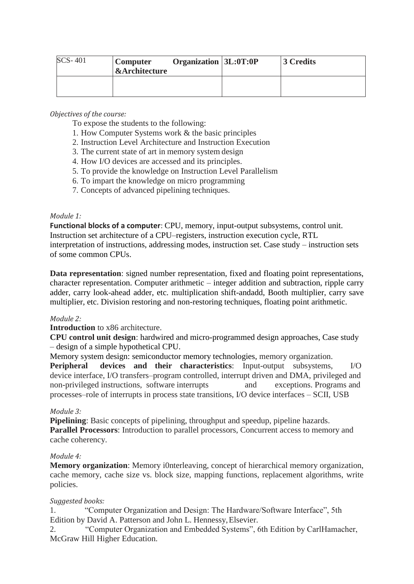| $SCS-401$ | Computer<br><b>&amp;Architecture</b> | Organization 3L:0T:0P | 3 Credits |
|-----------|--------------------------------------|-----------------------|-----------|
|           |                                      |                       |           |

# *Objectives of the course:*

To expose the students to the following:

- 1. How Computer Systems work & the basic principles
- 2. Instruction Level Architecture and Instruction Execution
- 3. The current state of art in memory system design
- 4. How I/O devices are accessed and its principles.
- 5. To provide the knowledge on Instruction Level Parallelism
- 6. To impart the knowledge on micro programming
- 7. Concepts of advanced pipelining techniques.

#### *Module 1:*

**Functional blocks of a computer**: CPU, memory, input-output subsystems, control unit. Instruction set architecture of a CPU–registers, instruction execution cycle, RTL interpretation of instructions, addressing modes, instruction set. Case study – instruction sets of some common CPUs.

**Data representation**: signed number representation, fixed and floating point representations, character representation. Computer arithmetic – integer addition and subtraction, ripple carry adder, carry look-ahead adder, etc. multiplication shift-andadd, Booth multiplier, carry save multiplier, etc. Division restoring and non-restoring techniques, floating point arithmetic.

#### *Module 2:*

**Introduction** to x86 architecture.

**CPU control unit design**: hardwired and micro-programmed design approaches, Case study – design of a simple hypothetical CPU.

Memory system design: semiconductor memory technologies, memory organization. **Peripheral devices and their characteristics**: Input-output subsystems, I/O device interface, I/O transfers–program controlled, interrupt driven and DMA, privileged and non-privileged instructions, software interrupts and exceptions. Programs and processes–role of interrupts in process state transitions, I/O device interfaces – SCII, USB

# *Module 3:*

**Pipelining**: Basic concepts of pipelining, throughput and speedup, pipeline hazards. **Parallel Processors**: Introduction to parallel processors, Concurrent access to memory and cache coherency.

#### *Module 4:*

**Memory organization**: Memory i0nterleaving, concept of hierarchical memory organization, cache memory, cache size vs. block size, mapping functions, replacement algorithms, write policies.

# *Suggested books:*

1. "Computer Organization and Design: The Hardware/Software Interface", 5th Edition by David A. Patterson and John L. Hennessy,Elsevier.

2. "Computer Organization and Embedded Systems", 6th Edition by CarlHamacher, McGraw Hill Higher Education.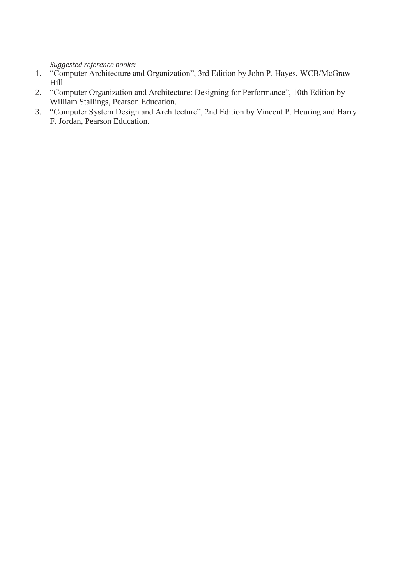*Suggested reference books:*

- 1. "Computer Architecture and Organization", 3rd Edition by John P. Hayes, WCB/McGraw-Hill
- 2. "Computer Organization and Architecture: Designing for Performance", 10th Edition by William Stallings, Pearson Education.
- 3. "Computer System Design and Architecture", 2nd Edition by Vincent P. Heuring and Harry F. Jordan, Pearson Education.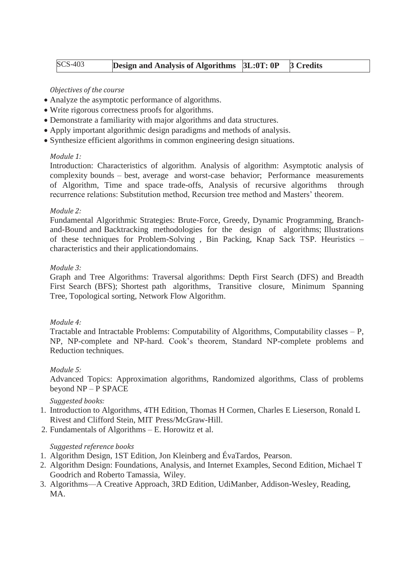| <b>SCS-403</b> | <b>Design and Analysis of Algorithms [3L:0T: 0P [3 Credits</b> ] |  |
|----------------|------------------------------------------------------------------|--|
|                |                                                                  |  |

# *Objectives of the course*

- Analyze the asymptotic performance of algorithms.
- Write rigorous correctness proofs for algorithms.
- Demonstrate a familiarity with major algorithms and data structures.
- Apply important algorithmic design paradigms and methods of analysis.
- Synthesize efficient algorithms in common engineering design situations.

# *Module 1:*

Introduction: Characteristics of algorithm. Analysis of algorithm: Asymptotic analysis of complexity bounds – best, average and worst-case behavior; Performance measurements of Algorithm, Time and space trade-offs, Analysis of recursive algorithms through recurrence relations: Substitution method, Recursion tree method and Masters' theorem.

# *Module 2:*

Fundamental Algorithmic Strategies: Brute-Force, Greedy, Dynamic Programming, Branchand-Bound and Backtracking methodologies for the design of algorithms; Illustrations of these techniques for Problem-Solving , Bin Packing, Knap Sack TSP. Heuristics – characteristics and their applicationdomains.

# *Module 3:*

Graph and Tree Algorithms: Traversal algorithms: Depth First Search (DFS) and Breadth First Search (BFS); Shortest path algorithms, Transitive closure, Minimum Spanning Tree, Topological sorting, Network Flow Algorithm.

# *Module 4:*

Tractable and Intractable Problems: Computability of Algorithms, Computability classes – P, NP, NP-complete and NP-hard. Cook's theorem, Standard NP-complete problems and Reduction techniques.

# *Module 5:*

Advanced Topics: Approximation algorithms, Randomized algorithms, Class of problems beyond NP – P SPACE

# *Suggested books:*

- 1. Introduction to Algorithms, 4TH Edition, Thomas H Cormen, Charles E Lieserson, Ronald L Rivest and Clifford Stein, MIT Press/McGraw-Hill.
- 2. Fundamentals of Algorithms E. Horowitz et al.

# *Suggested reference books*

- 1. Algorithm Design, 1ST Edition, Jon Kleinberg and ÉvaTardos, Pearson.
- 2. Algorithm Design: Foundations, Analysis, and Internet Examples, Second Edition, Michael T Goodrich and Roberto Tamassia, Wiley.
- 3. Algorithms—A Creative Approach, 3RD Edition, UdiManber, Addison-Wesley, Reading, MA.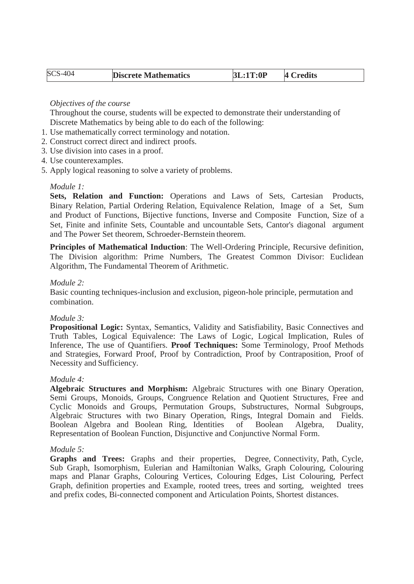| 3L:1T:0P | 4 Credits |
|----------|-----------|
|          |           |

# *Objectives of the course*

Throughout the course, students will be expected to demonstrate their understanding of Discrete Mathematics by being able to do each of the following:

- 1. Use mathematically correct terminology and notation.
- 2. Construct correct direct and indirect proofs.
- 3. Use division into cases in a proof.
- 4. Use counterexamples.
- 5. Apply logical reasoning to solve a variety of problems.

# *Module 1:*

**Sets, Relation and Function:** Operations and Laws of Sets, Cartesian Products, Binary Relation, Partial Ordering Relation, Equivalence Relation, Image of a Set, Sum and Product of Functions, Bijective functions, Inverse and Composite Function, Size of a Set, Finite and infinite Sets, Countable and uncountable Sets, Cantor's diagonal argument and The Power Set theorem, Schroeder-Bernstein theorem.

**Principles of Mathematical Induction**: The Well-Ordering Principle, Recursive definition, The Division algorithm: Prime Numbers, The Greatest Common Divisor: Euclidean Algorithm, The Fundamental Theorem of Arithmetic.

# *Module 2:*

Basic counting techniques-inclusion and exclusion, pigeon-hole principle, permutation and combination.

# *Module 3:*

**Propositional Logic:** Syntax, Semantics, Validity and Satisfiability, Basic Connectives and Truth Tables, Logical Equivalence: The Laws of Logic, Logical Implication, Rules of Inference, The use of Quantifiers. **Proof Techniques:** Some Terminology, Proof Methods and Strategies, Forward Proof, Proof by Contradiction, Proof by Contraposition, Proof of Necessity and Sufficiency.

# *Module 4:*

**Algebraic Structures and Morphism:** Algebraic Structures with one Binary Operation, Semi Groups, Monoids, Groups, Congruence Relation and Quotient Structures, Free and Cyclic Monoids and Groups, Permutation Groups, Substructures, Normal Subgroups, Algebraic Structures with two Binary Operation, Rings, Integral Domain and Fields. Boolean Algebra and Boolean Ring, Identities of Boolean Algebra, Duality, Representation of Boolean Function, Disjunctive and Conjunctive Normal Form.

# *Module 5:*

**Graphs and Trees:** Graphs and their properties, Degree, Connectivity, Path, Cycle, Sub Graph, Isomorphism, Eulerian and Hamiltonian Walks, Graph Colouring, Colouring maps and Planar Graphs, Colouring Vertices, Colouring Edges, List Colouring, Perfect Graph, definition properties and Example, rooted trees, trees and sorting, weighted trees and prefix codes, Bi-connected component and Articulation Points, Shortest distances.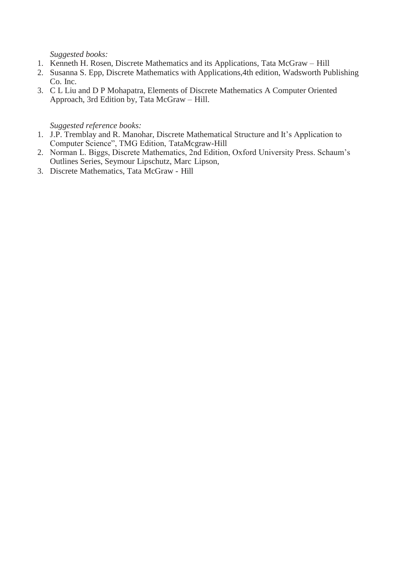*Suggested books:*

- 1. Kenneth H. Rosen, Discrete Mathematics and its Applications, Tata McGraw Hill
- 2. Susanna S. Epp, Discrete Mathematics with Applications,4th edition, Wadsworth Publishing Co. Inc.
- 3. C L Liu and D P Mohapatra, Elements of Discrete Mathematics A Computer Oriented Approach, 3rd Edition by, Tata McGraw – Hill.

*Suggested reference books:*

- 1. J.P. Tremblay and R. Manohar, Discrete Mathematical Structure and It's Application to Computer Science", TMG Edition, TataMcgraw-Hill
- 2. Norman L. Biggs, Discrete Mathematics, 2nd Edition, Oxford University Press. Schaum's Outlines Series, Seymour Lipschutz, Marc Lipson,
- 3. Discrete Mathematics, Tata McGraw Hill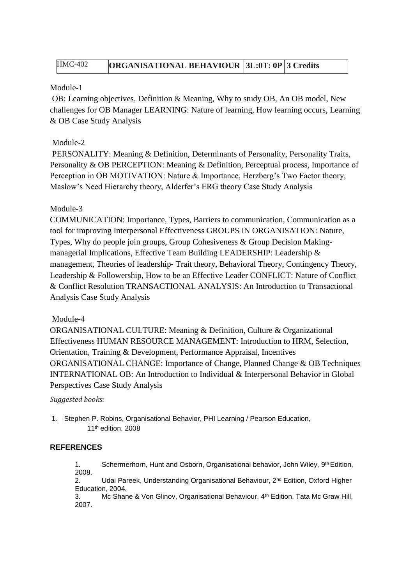# HMC-402 **ORGANISATIONAL BEHAVIOUR 3L:0T: 0P 3 Credits**

# Module-1

OB: Learning objectives, Definition & Meaning, Why to study OB, An OB model, New challenges for OB Manager LEARNING: Nature of learning, How learning occurs, Learning & OB Case Study Analysis

# Module-2

PERSONALITY: Meaning & Definition, Determinants of Personality, Personality Traits, Personality & OB PERCEPTION: Meaning & Definition, Perceptual process, Importance of Perception in OB MOTIVATION: Nature & Importance, Herzberg's Two Factor theory, Maslow's Need Hierarchy theory, Alderfer's ERG theory Case Study Analysis

# Module-3

COMMUNICATION: Importance, Types, Barriers to communication, Communication as a tool for improving Interpersonal Effectiveness GROUPS IN ORGANISATION: Nature, Types, Why do people join groups, Group Cohesiveness & Group Decision Making‐ managerial Implications, Effective Team Building LEADERSHIP: Leadership & management, Theories of leadership‐ Trait theory, Behavioral Theory, Contingency Theory, Leadership & Followership, How to be an Effective Leader CONFLICT: Nature of Conflict & Conflict Resolution TRANSACTIONAL ANALYSIS: An Introduction to Transactional Analysis Case Study Analysis

# Module-4

ORGANISATIONAL CULTURE: Meaning & Definition, Culture & Organizational Effectiveness HUMAN RESOURCE MANAGEMENT: Introduction to HRM, Selection, Orientation, Training & Development, Performance Appraisal, Incentives ORGANISATIONAL CHANGE: Importance of Change, Planned Change & OB Techniques INTERNATIONAL OB: An Introduction to Individual & Interpersonal Behavior in Global Perspectives Case Study Analysis

# *Suggested books:*

1. Stephen P. Robins, Organisational Behavior, PHI Learning / Pearson Education, 11th edition, 2008

# **REFERENCES**

1. Schermerhorn, Hunt and Osborn, Organisational behavior, John Wiley, 9<sup>th</sup> Edition, 2008.

2. Udai Pareek, Understanding Organisational Behaviour, 2<sup>nd</sup> Edition, Oxford Higher Education, 2004.

3. Mc Shane & Von Glinov, Organisational Behaviour, 4 th Edition, Tata Mc Graw Hill, 2007.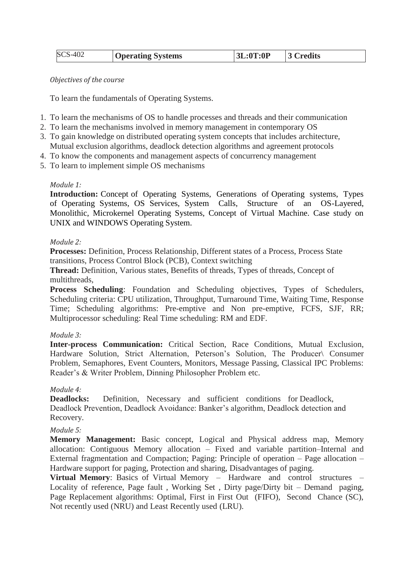| SCS-402 | <b>Operating Systems</b> | 3L:0T:0P | 3 Credits |
|---------|--------------------------|----------|-----------|
|---------|--------------------------|----------|-----------|

#### *Objectives of the course*

To learn the fundamentals of Operating Systems.

- 1. To learn the mechanisms of OS to handle processes and threads and their communication
- 2. To learn the mechanisms involved in memory management in contemporary OS
- 3. To gain knowledge on distributed operating system concepts that includes architecture, Mutual exclusion algorithms, deadlock detection algorithms and agreement protocols
- 4. To know the components and management aspects of concurrency management
- 5. To learn to implement simple OS mechanisms

# *Module 1:*

**Introduction:** Concept of Operating Systems, Generations of Operating systems, Types of Operating Systems, OS Services, System Calls, Structure of an OS-Layered, Monolithic, Microkernel Operating Systems, Concept of Virtual Machine. Case study on UNIX and WINDOWS Operating System.

#### *Module 2:*

**Processes:** Definition, Process Relationship, Different states of a Process, Process State transitions, Process Control Block (PCB), Context switching

**Thread:** Definition, Various states, Benefits of threads, Types of threads, Concept of multithreads,

**Process Scheduling**: Foundation and Scheduling objectives, Types of Schedulers, Scheduling criteria: CPU utilization, Throughput, Turnaround Time, Waiting Time, Response Time; Scheduling algorithms: Pre-emptive and Non pre-emptive, FCFS, SJF, RR; Multiprocessor scheduling: Real Time scheduling: RM and EDF.

# *Module 3:*

**Inter-process Communication:** Critical Section, Race Conditions, Mutual Exclusion, Hardware Solution, Strict Alternation, Peterson's Solution, The Producer\ Consumer Problem, Semaphores, Event Counters, Monitors, Message Passing, Classical IPC Problems: Reader's & Writer Problem, Dinning Philosopher Problem etc.

# *Module 4:*

**Deadlocks:** Definition, Necessary and sufficient conditions for Deadlock, Deadlock Prevention, Deadlock Avoidance: Banker's algorithm, Deadlock detection and Recovery.

# *Module 5:*

**Memory Management:** Basic concept, Logical and Physical address map, Memory allocation: Contiguous Memory allocation – Fixed and variable partition–Internal and External fragmentation and Compaction; Paging: Principle of operation – Page allocation – Hardware support for paging, Protection and sharing, Disadvantages of paging.

**Virtual Memory**: Basics of Virtual Memory – Hardware and control structures – Locality of reference, Page fault , Working Set , Dirty page/Dirty bit – Demand paging, Page Replacement algorithms: Optimal, First in First Out (FIFO), Second Chance (SC), Not recently used (NRU) and Least Recently used (LRU).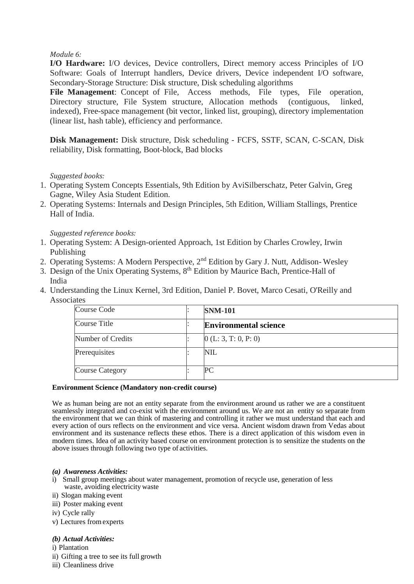# *Module 6:*

**I/O Hardware:** I/O devices, Device controllers, Direct memory access Principles of I/O Software: Goals of Interrupt handlers, Device drivers, Device independent I/O software, Secondary-Storage Structure: Disk structure, Disk scheduling algorithms

**File Management**: Concept of File, Access methods, File types, File operation, Directory structure, File System structure, Allocation methods (contiguous, linked, indexed), Free-space management (bit vector, linked list, grouping), directory implementation (linear list, hash table), efficiency and performance.

**Disk Management:** Disk structure, Disk scheduling - FCFS, SSTF, SCAN, C-SCAN, Disk reliability, Disk formatting, Boot-block, Bad blocks

# *Suggested books:*

- 1. Operating System Concepts Essentials, 9th Edition by AviSilberschatz, Peter Galvin, Greg Gagne, Wiley Asia Student Edition.
- 2. Operating Systems: Internals and Design Principles, 5th Edition, William Stallings, Prentice Hall of India.

# *Suggested reference books:*

- 1. Operating System: A Design-oriented Approach, 1st Edition by Charles Crowley, Irwin Publishing
- 2. Operating Systems: A Modern Perspective, 2<sup>nd</sup> Edition by Gary J. Nutt, Addison-Wesley
- 3. Design of the Unix Operating Systems, 8<sup>th</sup> Edition by Maurice Bach, Prentice-Hall of India
- 4. Understanding the Linux Kernel, 3rd Edition, Daniel P. Bovet, Marco Cesati, O'Reilly and **Associates**

| Course Code            |  | <b>SNM-101</b>               |
|------------------------|--|------------------------------|
| Course Title           |  | <b>Environmental science</b> |
| Number of Credits      |  | (0(L: 3, T: 0, P: 0))        |
| Prerequisites          |  | <b>NIL</b>                   |
| <b>Course Category</b> |  | PС                           |

#### **Environment Science (Mandatory non-credit course)**

We as human being are not an entity separate from the environment around us rather we are a constituent seamlessly integrated and co-exist with the environment around us. We are not an entity so separate from the environment that we can think of mastering and controlling it rather we must understand that each and every action of ours reflects on the environment and vice versa. Ancient wisdom drawn from Vedas about environment and its sustenance reflects these ethos. There is a direct application of this wisdom even in modern times. Idea of an activity based course on environment protection is to sensitize the students on the above issues through following two type of activities.

#### *(a) Awareness Activities:*

- i) Small group meetings about water management, promotion of recycle use, generation of less waste, avoiding electricity waste
- ii) Slogan making event
- iii) Poster making event
- iv) Cycle rally
- v) Lectures fromexperts

#### *(b) Actual Activities:*

- i) Plantation
- ii) Gifting a tree to see its full growth
- iii) Cleanliness drive